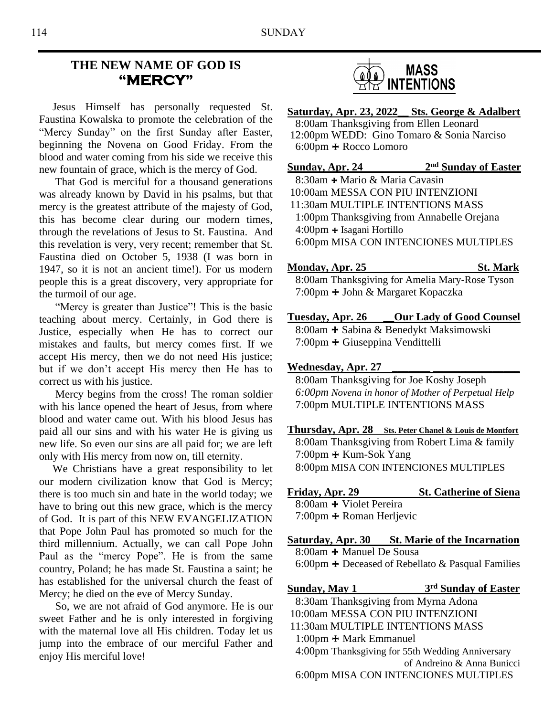# **THE NEW NAME OF GOD IS "MERCY"**

 Jesus Himself has personally requested St. Faustina Kowalska to promote the celebration of the "Mercy Sunday" on the first Sunday after Easter, beginning the Novena on Good Friday. From the blood and water coming from his side we receive this new fountain of grace, which is the mercy of God.

 That God is merciful for a thousand generations was already known by David in his psalms, but that mercy is the greatest attribute of the majesty of God, this has become clear during our modern times, through the revelations of Jesus to St. Faustina. And this revelation is very, very recent; remember that St. Faustina died on October 5, 1938 (I was born in 1947, so it is not an ancient time!). For us modern people this is a great discovery, very appropriate for the turmoil of our age.

 "Mercy is greater than Justice"! This is the basic teaching about mercy. Certainly, in God there is Justice, especially when He has to correct our mistakes and faults, but mercy comes first. If we accept His mercy, then we do not need His justice; but if we don't accept His mercy then He has to correct us with his justice.

 Mercy begins from the cross! The roman soldier with his lance opened the heart of Jesus, from where blood and water came out. With his blood Jesus has paid all our sins and with his water He is giving us new life. So even our sins are all paid for; we are left only with His mercy from now on, till eternity.

 We Christians have a great responsibility to let our modern civilization know that God is Mercy; there is too much sin and hate in the world today; we have to bring out this new grace, which is the mercy of God. It is part of this NEW EVANGELIZATION that Pope John Paul has promoted so much for the third millennium. Actually, we can call Pope John Paul as the "mercy Pope". He is from the same country, Poland; he has made St. Faustina a saint; he has established for the universal church the feast of Mercy; he died on the eve of Mercy Sunday.

 So, we are not afraid of God anymore. He is our sweet Father and he is only interested in forgiving with the maternal love all His children. Today let us jump into the embrace of our merciful Father and enjoy His merciful love!



**Saturday, Apr. 23, 2022\_\_ Sts. George & Adalbert** 8:00am Thanksgiving from Ellen Leonard 12:00pm WEDD: Gino Tomaro & Sonia Narciso 6:00pm **+** Rocco Lomoro

**Sunday, Apr. 24** 2<sup>nd</sup> Sunday of Easter

8:30am **+** Mario & Maria Cavasin 10:00am MESSA CON PIU INTENZIONI 11:30am MULTIPLE INTENTIONS MASS 1:00pm Thanksgiving from Annabelle Orejana 4:00pm **+** Isagani Hortillo 6:00pm MISA CON INTENCIONES MULTIPLES

### **Monday, Apr. 25 St. Mark**

8:00am Thanksgiving for Amelia Mary-Rose Tyson 7:00pm **+** John & Margaret Kopaczka

**Tuesday, Apr. 26 \_\_Our Lady of Good Counsel** 8:00am **+** Sabina & Benedykt Maksimowski 7:00pm **+** Giuseppina Vendittelli

#### **Wednesday, Apr. 27 \_\_\_\_\_\_\_ \_\_\_\_\_\_\_\_\_\_\_\_\_\_\_\_**

8:00am Thanksgiving for Joe Koshy Joseph *6:00pm Novena in honor of Mother of Perpetual Help* 7:00pm MULTIPLE INTENTIONS MASS

**Thursday, Apr. 28 Sts. Peter Chanel & Louis de Montfort** 8:00am Thanksgiving from Robert Lima & family 7:00pm **+** Kum-Sok Yang 8:00pm MISA CON INTENCIONES MULTIPLES

| Friday, Apr. 29                 | <b>St. Catherine of Siena</b> |
|---------------------------------|-------------------------------|
| 8:00am + Violet Pereira         |                               |
| $7:00$ pm $\pm$ Roman Herljevic |                               |

**Saturday, Apr. 30 St. Marie of the Incarnation** 8:00am **+** Manuel De Sousa 6:00pm **+** Deceased of Rebellato & Pasqual Families

**Sunday, May 1 3 rd Sunday of Easter** 8:30am Thanksgiving from Myrna Adona 10:00am MESSA CON PIU INTENZIONI 11:30am MULTIPLE INTENTIONS MASS 1:00pm **+** Mark Emmanuel 4:00pm Thanksgiving for 55th Wedding Anniversary of Andreino & Anna Bunicci 6:00pm MISA CON INTENCIONES MULTIPLES